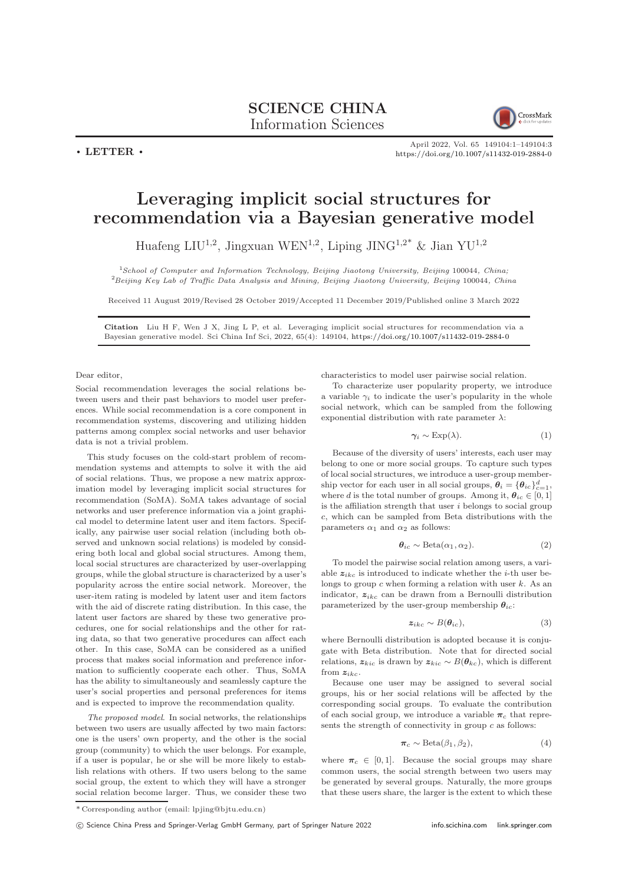SCIENCE CHINA Information Sciences

CrossMark

 $\cdot$  LETTER  $\cdot$ 

April 2022, Vol. 65 149104:1–149104[:3](#page-2-0) <https://doi.org/10.1007/s11432-019-2884-0>

## Leveraging implicit social structures for recommendation via a Bayesian generative model

Huafeng LIU<sup>1,2</sup>, Jingxuan WEN<sup>1,2</sup>, Liping JING<sup>1,2\*</sup> & Jian YU<sup>1,2</sup>

<sup>1</sup>School of Computer and Information Technology, Beijing Jiaotong University, Beijing 100044, China; <sup>2</sup>Beijing Key Lab of Traffic Data Analysis and Mining, Beijing Jiaotong University, Beijing 100044, China

Received 11 August 2019/Revised 28 October 2019/Accepted 11 December 2019/Published online 3 March 2022

Citation Liu H F, Wen J X, Jing L P, et al. Leveraging implicit social structures for recommendation via a Bayesian generative model. Sci China Inf Sci, 2022, 65(4): 149104, <https://doi.org/10.1007/s11432-019-2884-0>

## Dear editor,

Social recommendation leverages the social relations between users and their past behaviors to model user preferences. While social recommendation is a core component in recommendation systems, discovering and utilizing hidden patterns among complex social networks and user behavior data is not a trivial problem.

This study focuses on the cold-start problem of recommendation systems and attempts to solve it with the aid of social relations. Thus, we propose a new matrix approximation model by leveraging implicit social structures for recommendation (SoMA). SoMA takes advantage of social networks and user preference information via a joint graphical model to determine latent user and item factors. Specifically, any pairwise user social relation (including both observed and unknown social relations) is modeled by considering both local and global social structures. Among them, local social structures are characterized by user-overlapping groups, while the global structure is characterized by a user's popularity across the entire social network. Moreover, the user-item rating is modeled by latent user and item factors with the aid of discrete rating distribution. In this case, the latent user factors are shared by these two generative procedures, one for social relationships and the other for rating data, so that two generative procedures can affect each other. In this case, SoMA can be considered as a unified process that makes social information and preference information to sufficiently cooperate each other. Thus, SoMA has the ability to simultaneously and seamlessly capture the user's social properties and personal preferences for items and is expected to improve the recommendation quality.

The proposed model. In social networks, the relationships between two users are usually affected by two main factors: one is the users' own property, and the other is the social group (community) to which the user belongs. For example, if a user is popular, he or she will be more likely to establish relations with others. If two users belong to the same social group, the extent to which they will have a stronger social relation become larger. Thus, we consider these two

characteristics to model user pairwise social relation.

To characterize user popularity property, we introduce a variable  $\gamma_i$  to indicate the user's popularity in the whole social network, which can be sampled from the following exponential distribution with rate parameter  $\lambda$ :

<span id="page-0-0"></span>
$$
\gamma_i \sim \text{Exp}(\lambda). \tag{1}
$$

Because of the diversity of users' interests, each user may belong to one or more social groups. To capture such types of local social structures, we introduce a user-group membership vector for each user in all social groups,  $\theta_i = {\theta_{ic}}_{c=1}^d$ , where d is the total number of groups. Among it,  $\theta_{ic} \in [0, 1]$ is the affiliation strength that user  $i$  belongs to social group c, which can be sampled from Beta distributions with the parameters  $\alpha_1$  and  $\alpha_2$  as follows:

$$
\boldsymbol{\theta}_{ic} \sim \text{Beta}(\alpha_1, \alpha_2). \tag{2}
$$

To model the pairwise social relation among users, a variable  $z_{ikc}$  is introduced to indicate whether the *i*-th user belongs to group  $c$  when forming a relation with user  $k$ . As an indicator,  $z_{ikc}$  can be drawn from a Bernoulli distribution parameterized by the user-group membership  $\theta_{ic}$ :

$$
z_{ikc} \sim B(\theta_{ic}),\tag{3}
$$

where Bernoulli distribution is adopted because it is conjugate with Beta distribution. Note that for directed social relations,  $z_{kic}$  is drawn by  $z_{kic} \sim B(\theta_{kc})$ , which is different from  $z_{ikc}$ .

Because one user may be assigned to several social groups, his or her social relations will be affected by the corresponding social groups. To evaluate the contribution of each social group, we introduce a variable  $\pi_c$  that represents the strength of connectivity in group  $c$  as follows:

$$
\boldsymbol{\pi}_c \sim \text{Beta}(\beta_1, \beta_2),\tag{4}
$$

where  $\pi_c \in [0, 1]$ . Because the social groups may share common users, the social strength between two users may be generated by several groups. Naturally, the more groups that these users share, the larger is the extent to which these

<sup>\*</sup> Corresponding author (email: lpjing@bjtu.edu.cn)

c Science China Press and Springer-Verlag GmbH Germany, part of Springer Nature 2022 <info.scichina.com><link.springer.com>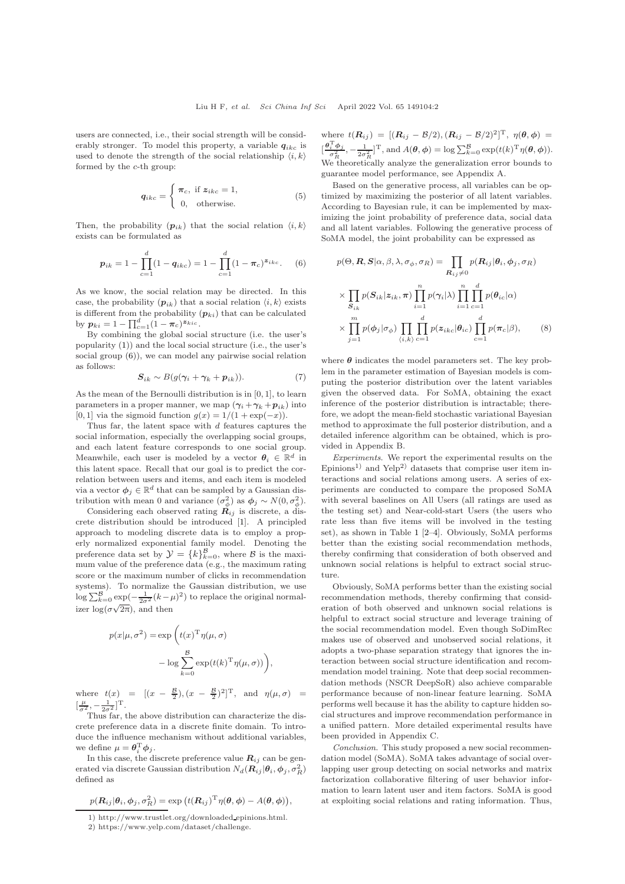users are connected, i.e., their social strength will be considerably stronger. To model this property, a variable  $q_{ikc}$  is used to denote the strength of the social relationship  $\langle i, k \rangle$ formed by the c-th group:

$$
q_{ikc} = \begin{cases} \pi_c, \text{ if } z_{ikc} = 1, \\ 0, \text{ otherwise.} \end{cases}
$$
 (5)

Then, the probability  $(p_{ik})$  that the social relation  $\langle i, k \rangle$ exists can be formulated as

<span id="page-1-0"></span>
$$
p_{ik} = 1 - \prod_{c=1}^{d} (1 - q_{ikc}) = 1 - \prod_{c=1}^{d} (1 - \pi_c)^{z_{ikc}}.
$$
 (6)

As we know, the social relation may be directed. In this case, the probability  $(p_{ik})$  that a social relation  $\langle i, k \rangle$  exists is different from the probability  $(p_{ki})$  that can be calculated by  $p_{ki} = 1 - \prod_{c=1}^{d} (1 - \pi_c)^{\mathbf{z}_{kic}}$ .

By combining the global social structure (i.e. the user's popularity [\(1\)](#page-0-0)) and the local social structure (i.e., the user's social group [\(6\)](#page-1-0)), we can model any pairwise social relation as follows:

$$
S_{ik} \sim B(g(\gamma_i + \gamma_k + p_{ik})). \tag{7}
$$

As the mean of the Bernoulli distribution is in [0, 1], to learn parameters in a proper manner, we map  $(\gamma_i + \gamma_k + p_{ik})$  into [0, 1] via the sigmoid function  $q(x) = 1/(1 + \exp(-x))$ .

Thus far, the latent space with  $d$  features captures the social information, especially the overlapping social groups, and each latent feature corresponds to one social group. Meanwhile, each user is modeled by a vector  $\theta_i \in \mathbb{R}^d$  in this latent space. Recall that our goal is to predict the correlation between users and items, and each item is modeled via a vector  $\phi_j \in \mathbb{R}^d$  that can be sampled by a Gaussian distribution with mean 0 and variance  $(\sigma_{\phi}^2)$  as  $\phi_j \sim N(0, \sigma_{\phi}^2)$ .

Considering each observed rating  $\vec{R}_{ij}$  is discrete, a discrete distribution should be introduced [\[1\]](#page-2-1). A principled approach to modeling discrete data is to employ a properly normalized exponential family model. Denoting the preference data set by  $\mathcal{Y} = \{k\}_{k=0}^{B}$ , where  $\mathcal{B}$  is the maximum value of the preference data (e.g., the maximum rating score or the maximum number of clicks in recommendation systems). To normalize the Gaussian distribution, we use  $\log \sum_{k=0}^{\mathcal{B}} \exp(-\frac{1}{2\sigma^2}(k-\mu)^2)$  to replace the original normalizer  $\log(\sigma\sqrt{2\pi})$ , and then

$$
p(x|\mu, \sigma^2) = \exp\left(t(x)^{\mathrm{T}} \eta(\mu, \sigma) - \log \sum_{k=0}^{B} \exp(t(k)^{\mathrm{T}} \eta(\mu, \sigma))\right),
$$

where  $t(x) = [(x - \frac{B}{2}), (x - \frac{B}{2})^2]^T$ , and  $\eta(\mu, \sigma)$  $\left[\frac{\mu}{\sigma^2}, -\frac{1}{2\sigma^2}\right]$ <sup>T</sup>.

Thus far, the above distribution can characterize the discrete preference data in a discrete finite domain. To introduce the influence mechanism without additional variables, we define  $\mu = \theta_i^{\mathrm{T}} \phi_j$ .

In this case, the discrete preference value  $R_{ij}$  can be generated via discrete Gaussian distribution  $N_d(\mathbf{R}_{ij} | \theta_i, \phi_j, \sigma_R^2)$ defined as

$$
p(\mathbf{R}_{ij}|\boldsymbol{\theta}_i,\boldsymbol{\phi}_j,\sigma_R^2)=\exp(t(\mathbf{R}_{ij})^T\eta(\boldsymbol{\theta},\boldsymbol{\phi})-A(\boldsymbol{\theta},\boldsymbol{\phi})),
$$

where  $t(R_{ij}) = [(R_{ij} - B/2), (R_{ij} - B/2)^2]^T, \eta(\theta, \phi) =$  $[\frac{\theta_i^{\mathrm{T}} \phi_j}{\sigma_R^2}, -\frac{1}{2\sigma_R^2}]^{\mathrm{T}}, \text{ and } A(\theta, \phi) = \log \sum_{k=0}^{\mathcal{B}} \exp(t(k)^{\mathrm{T}} \eta(\theta, \phi)).$ We theoretically analyze the generalization error bounds to guarantee model performance, see Appendix A.

Based on the generative process, all variables can be optimized by maximizing the posterior of all latent variables. According to Bayesian rule, it can be implemented by maximizing the joint probability of preference data, social data and all latent variables. Following the generative process of SoMA model, the joint probability can be expressed as

$$
p(\Theta, \mathbf{R}, \mathbf{S} | \alpha, \beta, \lambda, \sigma_{\phi}, \sigma_R) = \prod_{\mathbf{R}_{ij} \neq 0} p(\mathbf{R}_{ij} | \theta_i, \phi_j, \sigma_R)
$$

$$
\times \prod_{\mathbf{S}_{ik}} p(\mathbf{S}_{ik} | \mathbf{z}_{ik}, \pi) \prod_{i=1}^n p(\gamma_i | \lambda) \prod_{i=1}^n \prod_{c=1}^d p(\theta_{ic} | \alpha)
$$

$$
\times \prod_{j=1}^m p(\phi_j | \sigma_{\phi}) \prod_{\langle i, k \rangle} \prod_{c=1}^d p(\mathbf{z}_{ikc} | \theta_{ic}) \prod_{c=1}^d p(\pi_c | \beta), \qquad (8)
$$

where  $\theta$  indicates the model parameters set. The key problem in the parameter estimation of Bayesian models is computing the posterior distribution over the latent variables given the observed data. For SoMA, obtaining the exact inference of the posterior distribution is intractable; therefore, we adopt the mean-field stochastic variational Bayesian method to approximate the full posterior distribution, and a detailed inference algorithm can be obtained, which is provided in Appendix B.

Experiments. We report the experimental results on the Epinions<sup>1)</sup> and Yelp<sup>2)</sup> datasets that comprise user item interactions and social relations among users. A series of experiments are conducted to compare the proposed SoMA with several baselines on All Users (all ratings are used as the testing set) and Near-cold-start Users (the users who rate less than five items will be involved in the testing set), as shown in Table [1](#page-2-2) [\[2](#page-2-3)[–4\]](#page-2-4). Obviously, SoMA performs better than the existing social recommendation methods, thereby confirming that consideration of both observed and unknown social relations is helpful to extract social structure.

Obviously, SoMA performs better than the existing social recommendation methods, thereby confirming that consideration of both observed and unknown social relations is helpful to extract social structure and leverage training of the social recommendation model. Even though SoDimRec makes use of observed and unobserved social relations, it adopts a two-phase separation strategy that ignores the interaction between social structure identification and recommendation model training. Note that deep social recommendation methods (NSCR DeepSoR) also achieve comparable performance because of non-linear feature learning. SoMA performs well because it has the ability to capture hidden social structures and improve recommendation performance in a unified pattern. More detailed experimental results have been provided in Appendix C.

Conclusion. This study proposed a new social recommendation model (SoMA). SoMA takes advantage of social overlapping user group detecting on social networks and matrix factorization collaborative filtering of user behavior information to learn latent user and item factors. SoMA is good at exploiting social relations and rating information. Thus,

<sup>1)</sup> http://www.trustlet.org/downloaded epinions.html.

<sup>2)</sup> https://www.yelp.com/dataset/challenge.